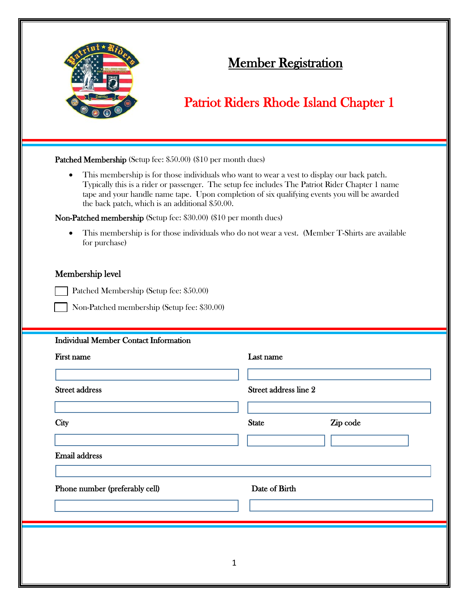

## Member Registration

## Patriot Riders Rhode Island Chapter 1

| $\bullet$<br>the back patch, which is an additional \$50.00.      | This membership is for those individuals who want to wear a vest to display our back patch.<br>Typically this is a rider or passenger. The setup fee includes The Patriot Rider Chapter 1 name<br>tape and your handle name tape. Upon completion of six qualifying events you will be awarded |  |
|-------------------------------------------------------------------|------------------------------------------------------------------------------------------------------------------------------------------------------------------------------------------------------------------------------------------------------------------------------------------------|--|
| Non-Patched membership (Setup fee: \$30.00) (\$10 per month dues) |                                                                                                                                                                                                                                                                                                |  |
| for purchase)                                                     | This membership is for those individuals who do not wear a vest. (Member T-Shirts are available                                                                                                                                                                                                |  |
| Membership level                                                  |                                                                                                                                                                                                                                                                                                |  |
| Patched Membership (Setup fee: \$50.00)                           |                                                                                                                                                                                                                                                                                                |  |
| Non-Patched membership (Setup fee: \$30.00)                       |                                                                                                                                                                                                                                                                                                |  |
| <b>Individual Member Contact Information</b>                      |                                                                                                                                                                                                                                                                                                |  |
| First name                                                        | Last name                                                                                                                                                                                                                                                                                      |  |
|                                                                   |                                                                                                                                                                                                                                                                                                |  |
| <b>Street address</b>                                             | Street address line 2                                                                                                                                                                                                                                                                          |  |
|                                                                   |                                                                                                                                                                                                                                                                                                |  |
|                                                                   |                                                                                                                                                                                                                                                                                                |  |
|                                                                   | Zip code<br><b>State</b>                                                                                                                                                                                                                                                                       |  |
|                                                                   |                                                                                                                                                                                                                                                                                                |  |
|                                                                   |                                                                                                                                                                                                                                                                                                |  |
|                                                                   | Date of Birth                                                                                                                                                                                                                                                                                  |  |
| City<br><b>Email address</b><br>Phone number (preferably cell)    |                                                                                                                                                                                                                                                                                                |  |
|                                                                   |                                                                                                                                                                                                                                                                                                |  |
|                                                                   |                                                                                                                                                                                                                                                                                                |  |